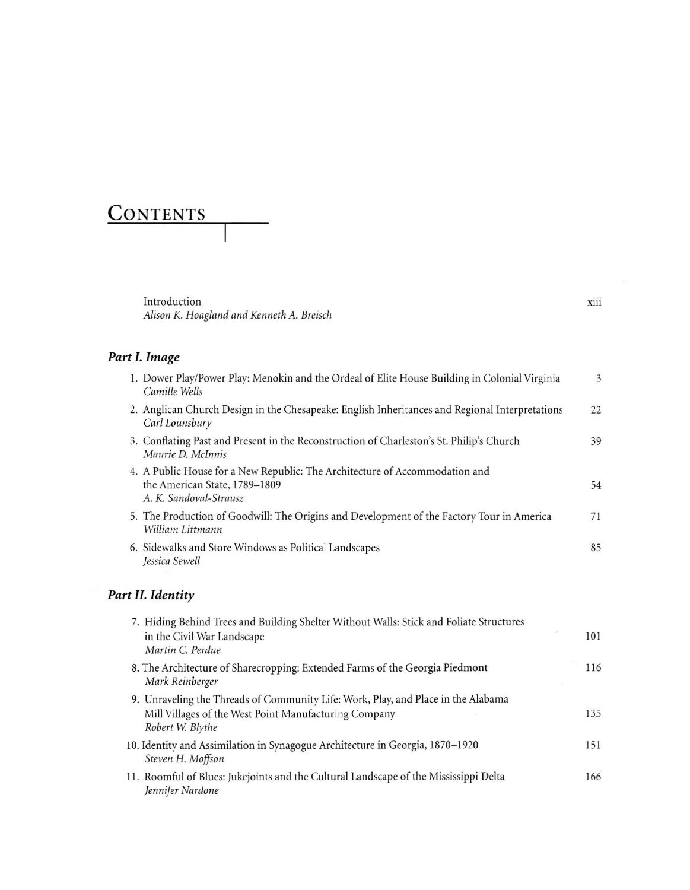## **CONTENTS**

Introduction *Alison K. Hoagland and KennethA. Breisch*

## *Part* **1.***Image*

| 1. Dower Play/Power Play: Menokin and the Ordeal of Elite House Building in Colonial Virginia<br>Camille Wells                         | 3  |
|----------------------------------------------------------------------------------------------------------------------------------------|----|
| 2. Anglican Church Design in the Chesapeake: English Inheritances and Regional Interpretations<br>Carl Lounsbury                       | 22 |
| 3. Conflating Past and Present in the Reconstruction of Charleston's St. Philip's Church<br>Maurie D. McInnis                          | 39 |
| 4. A Public House for a New Republic: The Architecture of Accommodation and<br>the American State, 1789–1809<br>A. K. Sandoval-Strausz | 54 |
| 5. The Production of Goodwill: The Origins and Development of the Factory Tour in America<br>William Littmann                          | 71 |
| 6. Sidewalks and Store Windows as Political Landscapes<br>Jessica Sewell                                                               | 85 |
|                                                                                                                                        |    |

## *Part* **II.** *Identity*

| 7. Hiding Behind Trees and Building Shelter Without Walls: Stick and Foliate Structures<br>$-7$<br>in the Civil War Landscape<br>Martin C. Perdue              | 101 |
|----------------------------------------------------------------------------------------------------------------------------------------------------------------|-----|
| 8. The Architecture of Sharecropping: Extended Farms of the Georgia Piedmont<br>Mark Reinberger                                                                | 116 |
| 9. Unraveling the Threads of Community Life: Work, Play, and Place in the Alabama<br>Mill Villages of the West Point Manufacturing Company<br>Robert W. Blythe | 135 |
| 10. Identity and Assimilation in Synagogue Architecture in Georgia, 1870–1920<br>Steven H. Moffson                                                             | 151 |
| 11. Roomful of Blues: Jukejoints and the Cultural Landscape of the Mississippi Delta<br>Jennifer Nardone                                                       | 166 |